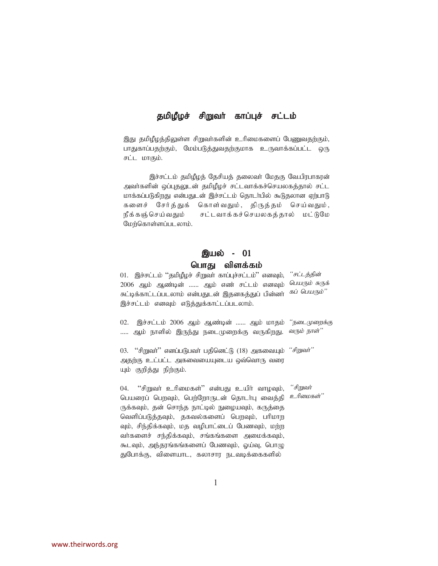### தமிழீழச் சிறுவர் காப்புச் சட்டம்

இது தமிழீழத்திலுள்ள சிறுவர்களின் உரிமைகளைப் பேறைவதற்கும், பாதுகாப்பதற்கும், மேம்படுத்துவதற்குமாக உருவாக்கப்பட்ட ஒரு சட்ட மாகும்.

இச்சட்டம் தமிழீழத் தேசியத் தலைவர் மேதகு வே.பிரபாகரன் அவர்களின் ஒப்புதலுடன் தமிமீழச் சட்டவாக்கச்செயலகத்தால் சட்ட மாக்கப்படுகிறது என்பதுடன் இச்சட்டம் தொடர்பில் கூடுதலான ஏற்பாடு களைச் சேர்த்துக் கொள்வதும், திருத்தம் செய்வதும், நீக்கஞ்செய்வதும் சட்டவாக்கச்செயலகத்தால் மட்டுமே மேற்கொள்ளப்படலாம்.

# **இயல் - 01**

## பொது விளக்கம்

01. இச்சட்டம் ''தமிழீழச் சிறுவா் காப்புச்சட்டம்'' எனவும், *''சட்டத்தின்* 2006 ஆம் ஆண்டின் ...... ஆம் எண் சட்டம் எனவும் *பெயரும்* சுருக் .<br>சுட்டிக்காட்டப்படலாம் என்பதுடன் இதனகத்துப் பின்னா் <sup>கப் பெயரும்''</sup> இச்சட்டம் எனவும் எடுத்துக்காட்டப்படலாம்.

02. இச்சட்டம் 2006 ஆம் ஆண்டின் ...... ஆம் மாதம் *''நடைமுறைக்கு* ..... ஆம் நாளில் இருந்து நடைமுறைக்கு வருகிறது. *வரும் நாள்''* 

03. "சிறுவா்" எனப்படுபவா் பதினெட்டு (18) அகவையும் *"சிறுவா்"* அதற்கு உட்பட்ட அகவையையுடைய ஒவ்வொரு வரை யும் குறித்து நிற்கும்.

 $04.$  "சிறுவா் உரிமைகள்" என்பது உயிா் வாழவும், பெயரைப் பெறவும், பெற்றோருடன் தொடர்பு வைத்தி ருக்கவும், தன் சொந்த நாட்டில் நுழையவும், கருத்தை வெளிப்படுத்தவும், தகவல்களைப் பெறவும், பரிமாற வும், சிந்திக்கவும், மத வழிபாட்டைப் பேணவும், மற்ற வர்களைச் சந்திக்கவும், சங்கங்களை அமைக்கவும், கூடவும், அந்தரங்கங்களைப் பேணவும், ஓய்வு, பொழு துபோக்கு, விளையாட, கலாசார நடவடிக்கைகளில் '*"சிறுவ*ர் <u>உரிமைகள்''</u>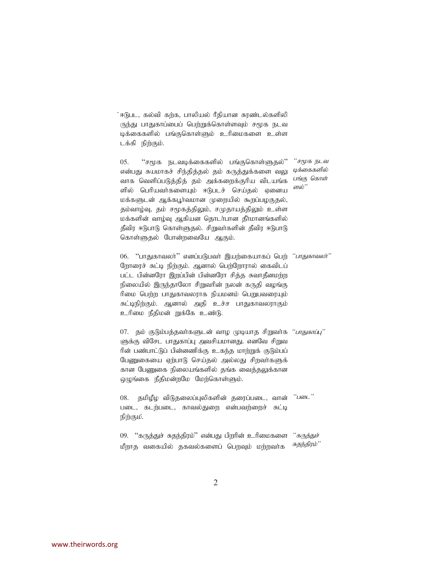்ஈடுபட, கல்வி கற்க, பாலியல் ரீதியான சுரண்டல்களிலி ருந்து பாதுகாப்பைப் பெற்றுக்கொள்ளவும் சமூக நடவ டிக்கைகளில் பங்குகொள்ளும் உரிமைகளை உள்ள டக்கி நிற்கும்.

 $05.$  "சமூக நடவடிக்கைகளில் பங்குகொள்ளுகல்" என்பது சுயமாகச் சிந்தித்தல் தம் கருத்துக்களை வலு வாக வெளிப்படுத்தித் தம் அக்கறைக்குரிய விடயங்க ளில் பெரியவர்களையும் ஈடுபடச் செய்தல் ஏனைய மக்களுடன் ஆக்கபூர்வமான முறையில் கூறப்பழகுதல், தம்வாழ்வு, தம் சமூகத்திலும், சமுதாயத்திலும் உள்ள மக்களின் வாழ்வு ஆகியன தொடர்பான தீர்மானங்களில் தீவிர ஈடுபாடு கொள்ளுதல். சிறுவர்களின் தீவிர ஈடுபாடு கொள்ளுகல் போன்றவையே ஆகும். *"சமூக நடவ* டிக்கைகளில் பங்கு கொள் ளல்''

06. "பாதுகாவலா்" எனப்படுபவா் இயற்கையாகப் பெற் *"பாதுகாவலா்"* நோரைச் சுட்டி நிற்கும். ஆனால் பெற்றோரால் கைவிடப் பட்ட பின்னரோ இறப்பின் பின்னரோ சித்த சுவாதீனமற்ற நிலையில் இருந்தாலோ சிறுவரின் நலன் கருதி வழங்கு ரிமை பெற்ற பாதுகாவலராக நியமனம் பெறுபவரையும் சுட்டிநிற்கும். ஆனால் அதி உச்ச பாதுகாவலராகும் உரிமை நீதிமன் றுக்கே உண்டு.

07. தம் குடும்பத்தவா்களுடன் வாழ முடியாத சிறுவா்க *''பாதுகாப்பு''* ளுக்கு விசேட பாதுகாப்பு அவசியமானது. எனவே சிறுவ ரின் பண்பாட்டுப் பின்னணிக்கு உகந்த மாற்றுக் குடும்பப் பேணுகையை ஏற்பாடு செய்தல் அல்லது சிறவர்களுக் கான பேணுகை நிலையங்களில் தங்க வைத்<u>தலு</u>க்கான லுங்கை நீதிமன்றமே மேற்கொள்ளும்.

08. தமிழீழ விடுதலைப்புலிகளின் தரைப்படை, வான் படை, கடற்படை, காவல்துறை என்பவற்றைச் சுட்டி நிற்கும். *"*gil*"*

09. "கருத்துச் சுதந்திரம்" என்பது பிறரின் உரிமைகளை மீறாத வகையில் தகவல்களைப் பெறவும் மற்றவர்க '*'கருத்துச்* சுதந்திரம்''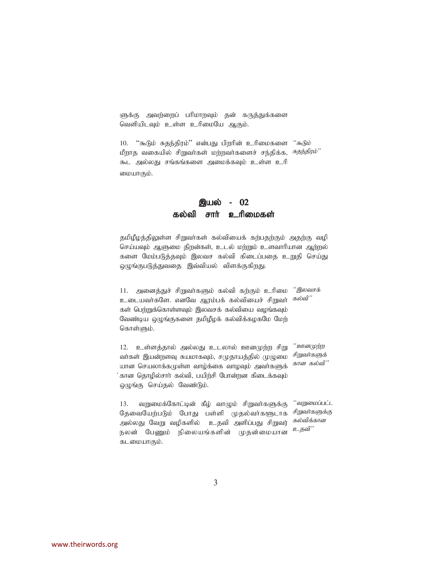ளுக்கு அவற்றைப் பரிமாறவும் தன் கருத்துக்களை வெளியிடவும் உள்ள உரிமையே ஆகும்.

 $10.$  "கூடும் சுதந்திரம்" என்பது பிறரின் உரிமைகளை மீறாத வகையில் சிறுவா்கள் மற்றவா்களைச் சந்திக்க, *<sup>சுதந்திரம்''*</sup> கூட அல்லது சங்கங்களை அமைக்கவும் உள்ள உரி மையாகும். <sup>"</sup> கூடும்

### **இயல் - 02** கல்வி சார் உரிமைகள்

தமிழீழத்திலுள்ள சிறுவர்கள் கல்வியைக் கற்பதற்கும் அதற்கு வழி செய்யவும் ஆளுமை திறன்கள், உடல் மற்றும் உளவாரியான ஆற்றல் களை மேம்படுத்தவும் இலவச கல்வி கிடைப்பதை உறுதி செய்து லுழங்குபடுத்துவதை இவ்வியல் விளக்குகி<u>றத</u>ு.

 $11.$  அனைத்துச் சிறுவா்களும் கல்வி கற்கும் உரிமை உடையவர்களே. எனவே ஆரம்பக் கல்வியைச் சிறுவர் கள் பெற்றுக்கொள்ளவும் இலவசக் கல்வியை வழங்கவும் வேண்டிய ஒழுங்குகளை தமிழீழக் கல்விக்கழகமே மேற் கொள்ளும். <sup>"</sup> இலவசக்  $\bm{\mathit{F}}$ ல்வி''

 $12.$  உள்ளத்தால் அல்லது உடலால் ஊனமுற்ற சிறு வர்கள் இயன்றளவு சுயமாகவும், சமுதாயத்தில் முழுமை யான செயலாக்கமுள்ள வாழ்க்கை வாழவும் அவர்களுக் .<br>' கான தொழில்சாா் கல்வி, பயிற்சி போன்றன கிடைக்கவும் ஒழுங்கு செய்தல் வேண்டும். '' *ஊனமுற்ற* சிறுவர்களுக் கான கல்வி"

 $13.$  வறுமைக்கோட்டின் கீழ் வாழும் சிறுவர்களுக்கு தேவையேற்படும் போது பள்ளி முதல்வர்களுடாக அல்லது வேறு வழிகளில் உதவி அளிப்பது சிறுவர் நலன் பேணும் நிலையங்களின் முதன்மையான கடமையாகும். ''வறுமைப்பட்ட சிறுவர்களுக்கு கல்விக்கான உதவி"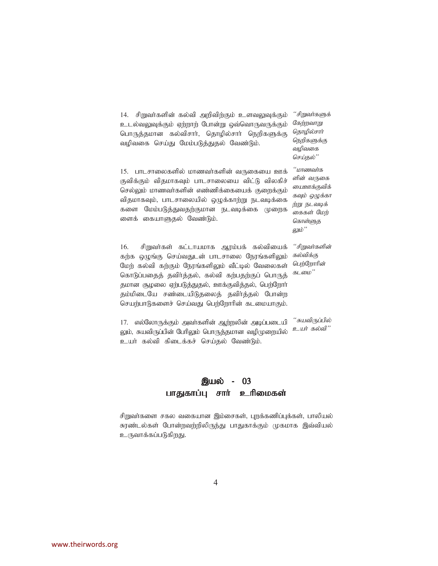| 14. சிறுவா்களின் கல்வி அறிவிற்கும் உளவலுவுக்கும்<br>உடல்வலுவுக்கும் ஏற்றாற் போன்று ஒவ்வொருவருக்கும்<br>பொருத்தமான கல்விசார், தொழில்சார் நெறிகளுக்கு<br>வழிவகை செய்து மேம்படுத்துதல் வேண்டும்.                                                                                                                                                        | ''சிறுவர்களுக்<br>கேற்றவாறு<br>தொழில்சார்<br>நெறிகளுக்கு<br>வழிவகை<br>செய்தல்''                            |
|------------------------------------------------------------------------------------------------------------------------------------------------------------------------------------------------------------------------------------------------------------------------------------------------------------------------------------------------------|------------------------------------------------------------------------------------------------------------|
| 15. பாடசாலைகளில் மாணவர்களின் வருகையை ஊக்<br>குவிக்கும் விதமாகவும் பாடசாலையை விட்டு விலகிச்<br>செல்லும் மாணவா்களின் எண்ணிக்கையைக் குறைக்கும்<br>விதமாகவும், பாடசாலையில் ஒழுக்காற்று நடவடிக்கை<br>மேம்படுத்துவதற்குமான நடவடிக்கை முறைக<br>களை<br>ளைக் கையாளுதல் வேண்டும்.                                                                              | ''மாணவர்க<br>ளின் வருகை<br>மைஊக்குவிக்<br>கவும் ஒழுக்கா<br>ற்று நடவடிக்<br>கைகள் மேற்<br>கொள்ளுத<br>லும்'' |
| 16. சிறுவர்கள் கட்டாயமாக ஆரம்பக் கல்வியைக்<br>கற்க ஒழுங்கு செய்வதுடன் பாடசாலை நேரங்களிலும்<br>மேற் கல்வி கற்கும் நேரங்களிலும் வீட்டில் வேலைகள்<br>கொடுப்பதைத் தவிர்த்தல், கல்வி கற்பதற்குப் பொருத்<br>தமான சூழலை ஏற்படுத்துதல், ஊக்குவித்தல், பெற்றோர்<br>தம்மிடையே சண்டையிடுதலைத் தவிர்த்தல் போன்ற<br>செயற்பாடுகளைச் செய்வது பெற்றோரின் கடமையாகும். | '''சிறுவர்களின்<br>கல்விக்கு<br>பெற்றோரின்<br>கடமை''                                                       |

17. எல்லோருக்கும் அவர்களின் ஆற்றலின் அடிப்படையி லும், சுயவிருப்பின் பேரிலும் பொருத்தமான வழிமுறையில் உயர் கல்வி கிடைக்கச் செய்தல் வேண்டும். '*"சுயவிருப்பில்* <u>உ</u>யர் கல்வி"

## இயல் - 03 பாதுகாப்பு சாா் உரிமைகள்

சிறுவா்களை சகல வகையான இம்சைகள், புறக்கணிப்புக்கள், பாலியல் சுரண்டல்கள் போன்றவற்றிலிருந்து பாதுகாக்கும் முகமாக இவ்வியல் உருவாக்கப்படுகிறது.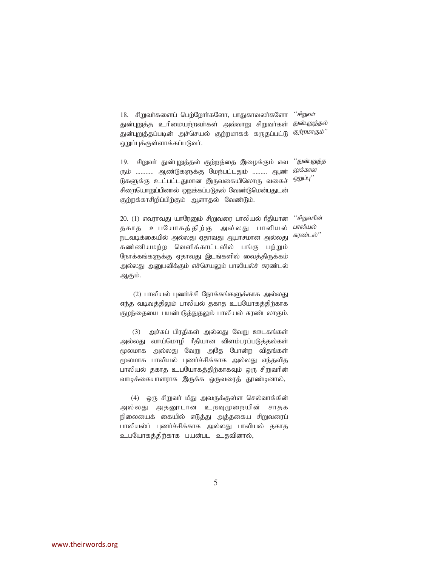18. சிறுவர்களைப் பெற்றோர்களோ, பாதுகாவலர்களோ துன்புறுத்த உரிமையற்றவர்கள் அவ்வாறு சிறுவர்கள் துன்புறுத்தப்படின் அச்செயல் குற்றமாகக் கருதப்பட்டு வுட்புக்குள்ளாக்கப்படுவர். '*'* சிறுவர் துன்புறுத்தல் குற்றமாகும்''

19. சிறுவர் துன்புறுத்தல் குற்றத்தை இழைக்கும் எவ ரும் ........... ஆண்டுகளுக்கு மேற்பட்டதும் ......... ஆண் டுகளுக்கு உட்பட்டதுமான இருவகையிலொரு வகைச் சிறையொறுப்பினால் ஹுக்கப்படுதல் வேண்டுமென்பதுடன் குற்றக்காசிறிப்பிற்கும் ஆளாதல் வேண்டும். ''*துன்புறுத்த* லுக்கான னுப்ப<sup>"</sup>

> '*'சிறுவரின்* பாலியல் சுரண்டல்''

தகாத உபயோகத்திற்கு அல்லது பாலியல் நடவடிக்கையில் அல்லது ஏதாவது ஆபாசமான அல்லது கண்ணியமற்ற வெளிக்காட்டலில் பங்கு பற்றும் நோக்கங்களுக்கு ஏதாவது இடங்களில் வைத்திருக்கம் அல்லது அனுபவிக்கும் எச்செயலும் பாலியல்ச் சுரண்டல் ஆகும்.

 $20.$  (1) எவராவது யாரேனும் சிறுவரை பாலியல் ரீதியான

 $(2)$  பாலியல் புணர்ச்சி நோக்கங்களுக்காக அல்லது எந்த வடிவத்திலும் பாலியல் தகாத உபயோகத்திற்காக குழந்தையை பயன்படுத்துதலும் பாலியல் சுரண்டலாகும்.

 $(3)$  அச்சுப் பிரதிகள் அல்லது வேறு ஊடகங்கள் அல்லது வாய்மொழி ரீதியான விளம்பரப்படுத்தல்கள் மூலமாக அல்லது வேறு அதே போன்ற விதங்கள் மூலமாக பாலியல் புணர்ச்சிக்காக அல்லது எந்தவித பாலியல் தகாத உபயோகத்திற்காகவும் ஒரு சிறுவரின் வாடிக்கையாளராக இருக்க ஒருவரைத் தூண்டினால்,

(4) ஒரு சிறுவர் மீது அவருக்குள்ள செல்வாக்கின் அல்லது அதனூடான உறவுமுறையின் சாதக நிலையைக் கையில் எடுத்து அத்தகைய சிறுவரைப் பாலியல்ப் புணர்ச்சிக்காக அல்லது பாலியல் தகாத உபயோகத்திற்காக பயன்பட உதவினால்,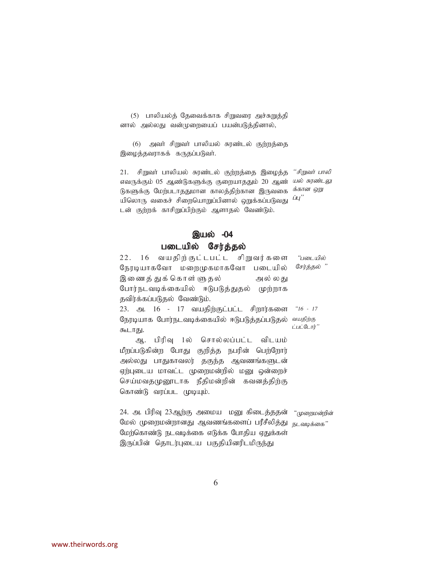(5) பாலியல்த் தேவைக்காக சிறுவரை அச்சுறுத்தி னால் அல்லது வன்முறையைப் பயன்படுத்தினால்,

(6) அவர் சிறுவர் பாலியல் சுரண்டல் குற்றத்தை இழைத்தவராகக் கருதப்படுவர்.

21. சிறுவா் பாலியல் சுரண்டல் குற்றத்தை இழைத்த *''சிறுவா் பாலி* எவருக்கும் 05 ஆண்டுகளுக்கு குறையாததும் 20 ஆண் *யல் சுரண்டலு* டுகளுக்கு மேற்படாததுமான காலத்திற்கான இருவகை *<sup>க்கான ஒறு*</sup> ு<br>யிலொரு வகைச் சிறையொறுப்பினால் ஒறுக்கப்படுவது *<sup>ப்பு''*</sup> டன் குற்றக் காசிறுப்பிற்கும் ஆளாதல் வேண்டும்.

## இயல்  $-04$

### படையில் சேர்த்தல்

| 22. 16 வயதிற்குட்டபட்ட சிறுவர்களை <i>"படையில்</i>            |             |
|--------------------------------------------------------------|-------------|
| நேரடியாகவோ மறைமுகமாகவோ படையில்                               | சேர்த்தல் " |
| இணைத் துக் கொள் ளுதல்<br>அல் லது                             |             |
| போர்நடவடிக்கையில் ஈடுபடுத்துதல் முற்றாக                      |             |
| தவிர்க்கப்படுதல் வேண்டும்.                                   |             |
| 23. அ. 16 - 17 வயதிற்குட்பட்ட சிறார்களை <i>"16 - 17</i>      |             |
| நேரடியாக போர்நடவடிக்கையில் ஈடுபடுத்தப்படுதல் <i>வயதிற்கு</i> |             |
| கூடாது.                                                      | ட்பட்டோர்"  |
| பிரிவு 1ல் சொல்லப்பட்ட விடயம்<br>ஆ.                          |             |
| மீறப்படுகின்ற போது குறித்த நபரின் பெற்றோர்                   |             |
|                                                              |             |

அல்லது பாதுகாவலர் தகுந்த ஆவணங்களுடன் ஏற்புடைய மாவட்ட முறைமன்றில் மனு ஒன்றைச் செய்மவதமுனூடாக நீதிமன்றின் கவனத்திற்கு கொண்டு வரப்பட முடியும்.

24. அ. பிரிவு 23ஆற்கு அமைய மனு கிடைத்ததன் *"முறைமன்றின்* மேல் முறைமன்றானது ஆவணங்களைப் பரீசீலித்து <sub>நடவடிக்கை</sub>" மேற்கொண்டு நடவடிக்கை எடுக்க போதிய ஏதுக்கள் இருப்பின் தொடர்புடைய பகுதியினரிடமிருந்து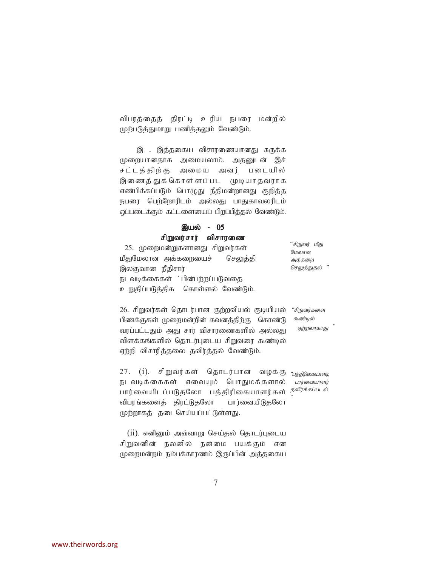விபரத்தைத் திரட்டி உரிய நபரை மன்றில் முற்படுத்துமாறு பணித்தலும் வேண்டும்.

இ . இத்தகைய விசாரணையானது சுருக்க முறையானதாக அமையலாம். அதனுடன் இச் சட்டத்திற்கு அமைய அவர் படையில் இணைத்துக்கொள்ளப்பட முடியாதவராக எண்பிக்கப்படும் பொழுது நீதிமன்றானது குறித்த நபரை பெற்றோரிடம் அல்லது பாதுகாவலரிடம் ஒப்படைக்கும் கட்டளையைப் பிறப்பித்தல் வேண்டும்.

#### இயல் - 05 சிறுவர்சார் விசாரணை

25. முறைமன்றுகளானது சிறுவர்கள் மீதுமேலான அக்கறையைச் செலுத்தி இலகுவான நீதிசார் நடவடிக்கைகள் ்பின்பற்றப்படுவதை உறுதிப்படுத்திக கொள்ளல் வேண்டும்.  $"$ சிறுவர் மீது மேலான அக்களை செலுத்துதல்

26. சிறுவர்கள் தொடர்பான குற்றவியல் குடியியல் பிணக்குகள் முறைமன்றின் கவனத்திற்கு கொண்டு வரப்பட்டதும் அது சார் விசாரணைகளில் அல்லது விளக்கங்களில் தொடர்புடைய சிறுவரை கூண்டில் ஏற்றி விசாரித்தலை தவிர்த்தல் வேண்டும்.

"சிறுவர்களை கூண்டில் ஏற்றலாகாது

27. (i). சிறுவர்கள் தொடர்பான வழக்கு நடவடிக்கைகள் எவையும் பொதுமக்களால் பார்வையிடப்படுதலோ பத்திரிகையாளர்கள் *த<sup>விர்க்கப்படல்*</sup> விபரங்களைக் கிரட்டுகலோ பார்வையிடுகலோ முற்றாகத் தடைசெய்யப்பட்டுள்ளது. "பத்திரிகையாளர். பார்வையாளர்

 $(i)$ . எனினும் அவ்வாறு செய்தல் தொடர்புடைய சிறுவனின் நலனில் நன்மை பயக்கும் என முறைமன்றம் நம்பக்காரணம் இருப்பின் அக்ககைய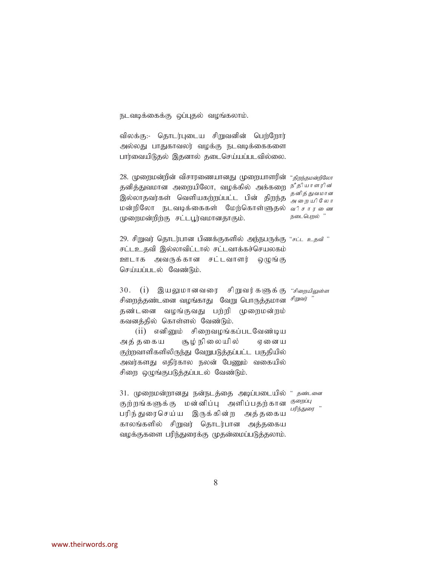நடவடிக்கைக்கு ஒப்புதல் வழங்கலாம்.

விலக்கு:- தொடர்புடைய சிறுவனின் பெற்றோர் அல்லது பாதுகாவலர் வழக்கு நடவடிக்கைகளை பார்வையிடுதல் இதனால் தடைசெய்யப்படவில்லை.

28. முறைமன்றின் விசாரணையானது முறையாளரின் *"திறந்தமன்றிலோ* தனித்துவமான அறையிலோ, வழக்கில் அக்கறை *நீ தியாளரின்* .<br>இல்லாதவர்கள் வெளியகற்றப்பட்ட பின் திறந்த <sub>அளையிலோ</sub> மன்றிலோ நடவடிக்கைகள் மேற்கொள்ளுதல் *விசாரணை* முறைமன்றிற்கு சட்டபூர்வமானதாகும். அறையிலோ நடைபெறல் "

29. சிறுவர் தொடர்பான பிணக்குகளில் அந்நபருக்கு *"சட்ட உதவி*" சட்டஉதவி இல்லாவிட்டால் சட்டவாக்கச்செயலகம் ஊடாக அவருக்கான சட்டவாளர் ஒழுங்கு செய்யப்படல் வேண்டும்.

30. (i) இயலுமானவரை சிறுவர்களுக்கு *"சிறையிலுள்ள* சிறைத்தண்டனை வழங்காது வேறு பொருத்தமான *<sup>சிறுவர்* "</sup> தண்டனை வழங்குவது பற்றி முறைமன்றம் கவனத்தில் கொள்ளல் வேண்டும்.

 $(iii)$  எனினும் சிறைவழங்கப்படவேண்டிய அத்தகைய சூழ்நிலையில் ஏனைய குற்றவாளிகளிலிருந்து வேறுபடுத்தப்பட்ட பகுதியில் அவர்களது எதிர்கால நலன் பேணும் வகையில் சிறை ஒழுங்குபடுத்தப்படல் வேண்டும்.

31. முறைமன்றானது நன்நடத்தை அடிப்படையில் " *தண்டனை* குற்றங்களுக்கு மன்னிப்பு அளிப்பதற்கான <sup>குறைப்பு</sup> பரிந்துரைசெய்ய இருக்கின்ற அத்தகைய காலங்களில் சிறுவர் தொடர்பான அத்தகைய வழக்குகளை பரிந்துரைக்கு முதன்மைப்படுத்தலாம். பரிந்துரை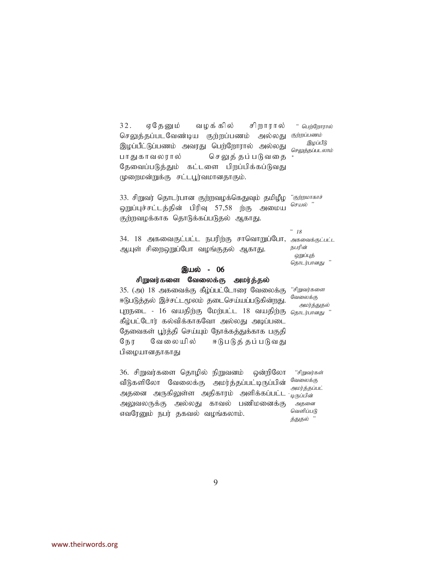32. ஏதேனும் வழக்கில் சிறாரால் செலுத்தப்படவேண்டிய குற்றப்பணம் இழப்பீட்டுப்பணம் அவரது பெற்றோரால் அல்லது பாதுகாவலரால் செலுத்தப்படுவதை தேவைப்படுத்தும் கட்டளை பிறப்பிக்கப்டுவது (ழறைமன்றுக்கு சட்டபூர்வமானதாகும்.  $"$  பெற்றோரால் அல்லது *கற்றப்பணம்* இழப்பீடு செலுத்தப்படலாம்

33. சிறுவர் தொடர்பான குற்றவழக்கெதுவும் தமிழீழ *"குற்றமாகாச்* ஒறுப்புச்சட்டத்தின் பிரிவு 57,58 ற்கு அமைய குற்றவழக்காக தொடுக்கப்படுதல் ஆகாது. செயல் "

34. 18 அகவைகுட்பட்ட நபரிற்கு சாவொறுப்போ, *அகவைக்குட்பட்ட* அயுள் சிறைஹுப்போ வழங்குகல் ஆகாகு.  $~^\circ$  18 நபரின்

ஒறுப்புத் தொடர்பானது

#### இயல் - 06

#### சிறுவர்களை வேலைக்கு அமர்த்தல்

35. (அ) 18 அகவைக்கு கீழ்ப்பட்டோரை வேலைக்கு ஈடுபடுத்தல் இச்சட்டமூலம் தடைசெய்யப்படுகின்றது. புறநடை - 16 வயதிற்கு மேற்பட்ட 18 வயதிற்கு <sub>தொடர்பானது</sub> " கீழ்பட்டோர் கல்விக்காகவோ அல்லது அடிப்படை தேவைகள் பூர்த்தி செய்யும் நோக்கத்துக்காக பகுதி நேர வேலையில் ஈடுபடுத்தப்படுவது பிழையானதாகாது

36. சிறுவர்களை தொழில் நிறுவனம் ஒன்றிலோ வீடுகளிலோ வேலைக்கு அமர்த்தப்பட்டிருப்பின் அதனை அருகிலுள்ள அதிகாரம் அளிக்கப்பட்ட*்<sub>டிருப்பிள்*</sub> அலுவலருக்கு அல்லது காவல் பணிமனைக்கு எவரேனும் நபர் தகவல் வழங்கலாம்.

"சிறுவர்களை வேலைக்கு அமர்த்துதல்

"சிறுவர்கள் வேலைக்கு அமர்த்தப்பட் அதனை வெளிப்படு த்துதல்